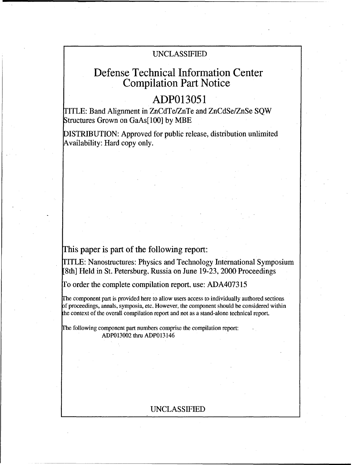### UNCLASSIFIED

# Defense Technical Information Center Compilation Part Notice

## **ADP013051**

tITLE: Band Alignment in ZnCdTe/ZnTe and ZnCdSe/ZnSe SQW Structures Grown on GaAs[100] by MBE

DISTRIBUTION: Approved for public release, distribution unlimited Availability: Hard copy only.

## This paper is part of the following report:

TITLE: Nanostructures: Physics and Technology International Symposium [8th] Held in St. Petersburg, Russia on June 19-23, 2000 Proceedings

Fo order the complete compilation report, use: ADA407315

rhe component part is provided here to allow users access to individually authored sections of proceedings, annals, symposia, etc, However, the component should be considered within the context of the overall compilation report and not as a stand-alone technical report.

The following component part numbers comprise the compilation report: ADP013002 thru ADP013146

### UNCLASSIFIED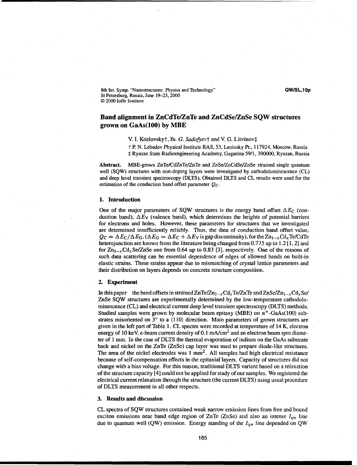8th Int. Symp. "Nanostructures: Physics and Technology" **QW/SL.IOp** St Petersburg, Russia, June 19-23, 2000 © 2000 loffe Institute

### Band alignment in ZnCdTe/ZnTe and ZnCdSe/ZnSe SQW structures grown on GaAs(100) **by** MBE

V. I. Kozlovsky†, *Yu. G. Sadofyev*† and V. G. Litvinov‡

t P. N. Lebedev Physical Institute RAS, 53, Leninsky Pr., 117924, Moscow, Russia t Ryazan State Radioengineering Academy, Gagarina 59/1, 390000, Ryazan, Russia

Abstract. MBE-grown ZnTe/CdZnTe/ZnTe and ZnSe/ZnCdSe/ZnSe strained single quantum well (SQW) structures with non-doping layers were investigated by cathodoluminescence (CL) and deep level transient spectroscopy (DLTS). Obtained DLTS and CL results were used for the estimation of the conduction band offset parameter  $Q_C$ .

#### **1.** Introduction

One of the major parameters of SQW structures is the energy band offset  $\Delta E_{\text{C}}$  (conduction band),  $\Delta E_V$  (valence band), which determines the heights of potential barriers for electrons and holes. However, these parameters for structures that we investigated are determined insufficiently reliably. Thus, the data of conduction band offset value,  $Q_C = \Delta E_C / \Delta E_G$ . ( $\Delta E_G = \Delta E_C + \Delta E_V$  is gap discontinuity), for the Zn<sub>j-x</sub>Cd<sub>x</sub>Te/CdTe heterojunction are known from the literature being changed from 0.775 up to 1.2 [1, 2] and for  $Zn_{1-x}Cd_xSe/ZnSe$  one from 0.64 up to 0.83 [3], respectively. One of the reasons of such data scattering can be essential dependence of edges of allowed bands on built-in elastic strains. These strains appear due to mismatching of crystal lattice parameters and their distribution on layers depends on concrete structure composition.

#### 2. Experiment

In this paper the band offsets in strained  $ZnTe/Zn<sub>1-x</sub>Cd<sub>x</sub>Te/ZnTe$  and  $ZnSe/Zn<sub>1-x</sub>Cd<sub>x</sub>Se/$ ZnSe **SQW** structures are experimentally determined by the low-temperature cathodoluminescence (CL) and electrical current deep level transient spectroscopy (DLTS) methods. Studied samples were grown by molecular beam epitaxy (MBE) on  $n^+$ -GaAs(100) substrates misoriented on **3'** to a (110) direction. Main parameters of grown structures are given in the left part of Table 1. **CL** spectra were recorded at temperature of 14 K, electron energy of 10 keV, e-beam current density of 0.1 mA/cm<sup>2</sup> and an electron beam spot diameter of 1 mm. In the case of DLTS the thermal evaporation of indium on the GaAs substrate back and nickel on the ZnTe (ZnSe) cap layer was used to prepare diode-like structures. The area of the nickel electrodes was  $1 \text{ mm}^2$ . All samples had high electrical resistance because of self-compensation effects in the epitaxial layers. Capacity of structures did not change with a bias voltage. For this reason, traditional DLTS variant based on a relaxation of the structure capacity [4] could not be applied for study of our samples. We registered the electrical current relaxation through the structure (the current DLTS) using usual procedure of DLTS measurement in all other respects.

#### **3.** Results and discussion

CL spectra of SQW structures contained weak narrow emission lines from free and bound exciton emissions near band edge region of  $ZnTe$  ( $ZnSe$ ) and also an intense  $I_{qw}$  line due to quantum well (QW) emission. Energy standing of the  $I_{qw}$  line depended on QW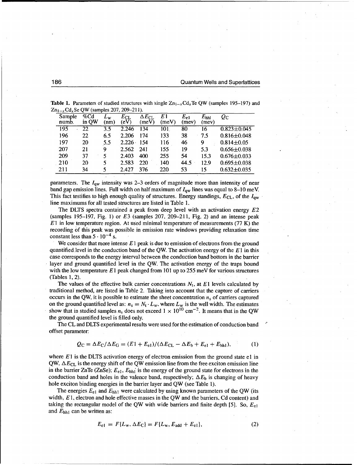| <b>Table 1.</b> Parameters of studied structures with single $Zn_{1-x}Cd_xTeQW$ (samples 195–197) and |  |  |  |  |
|-------------------------------------------------------------------------------------------------------|--|--|--|--|
| $Zn_{1-x}Cd_xSe$ QW (samples 207, 209–211).                                                           |  |  |  |  |

| Sample<br>numb. | %Cd<br>in OW | $L_{w}$<br>(nm) | $E_{CL}$<br>(eV) | $\Delta E_{\text{CL}}$<br>(meV) | E I<br>(meV) | $E_{\rm e1}$<br>(mev) | $E_{\rm hhl}$<br>(mev) | $Q_{\rm C}$       |
|-----------------|--------------|-----------------|------------------|---------------------------------|--------------|-----------------------|------------------------|-------------------|
| 195             | 22           | 3.5             | 2.246            | 134                             | 101          | 80                    | 16                     | $0.823 \pm 0.045$ |
| 196             | 22           | 6.5             | 2.206            | 174                             | 133          | 38                    | 7.5                    | $0.816 \pm 0.048$ |
| 197             | 20           | 5.5             | $2.226 -$        | 154                             | 116          | 46                    | 9                      | $0.814 \pm 0.05$  |
| 207             | 21           | 9               | 2.562            | 241                             | 155          | 19                    | 5.3                    | $0.656 \pm 0.038$ |
| 209             | 37           | 5               | 2.403            | 400                             | 255          | 54                    | 15.3                   | $0.676 \pm 0.033$ |
| 210             | 20           | 5               | 2.583            | 220                             | 140          | 44.5                  | 12.9                   | $0.695 \pm 0.038$ |
| 211             | 34           | 5.              | 2.427            | 376                             | 220          | 53                    | 15                     | $0.632 \pm 0.035$ |

parameters. The  $I_{\text{aw}}$  intensity was 2-3 orders of magnitude more than intensity of near band gap emission lines. Full width on half maximum of  $I_{\text{qw}}$  lines was equal to 8–10 meV. This fact testifies to high enough quality of structures. Energy standings,  $E_{CL}$ , of the  $I_{qw}$ line maximums for all tested structures are listed in Table 1.

The DLTS spectra contained a peak from deep level with an activation energy  $E2$ (samples 195-197, Fig. **1)** or E3 (samples 207, 209-211, Fig. 2) and an intense peak  $E1$  in low temperature region. At used minimal temperature of measurements (77 K) the recording of this peak was possible in emission rate windows providing relaxation time constant less than  $5 \cdot 10^{-4}$  s.

We consider that more intense  $E_1$  peak is due to emission of electrons from the ground quantified, level in the conduction band of the QW. The activation energy of the  $E_1$  in this case corresponds to the energy interval between the conduction band bottom in the barrier layer and ground quantified level in the QW. The activation energy of the traps bound with the low temperature  $E1$  peak changed from 101 up to 255 meV for various structures (Tables 1, 2).

The values of the effective bulk carrier concentrations  $N_t$ , at  $E1$  levels calculated by traditional method, are listed in Table 2. Taking into account that the capture of carriers occurs in the QW, it is possible to estimate the sheet concentration  $n_s$  of carriers captured on the ground quantified level as:  $n_s = N_t \cdot L_w$ , where  $L_w$  is the well width. The estimates show that in studied samples  $n_s$  does not exceed  $1 \times 10^{10}$  cm<sup>-2</sup>. It means that in the OW the ground quantified level is filled only.

The CL and DLTS experimental results were used for the estimation of conduction band offset parameter:

$$
Q_{\rm C} = \Delta E_{\rm C}/\Delta E_{\rm G} = (E1 + E_{\rm el})/(\Delta E_{\rm CL} - \Delta E_{\rm b} + E_{\rm el} + E_{\rm hhl}), \tag{1}
$$

where  $E1$  is the DLTS activation energy of electron emission from the ground state el in  $QW$ ,  $\Delta E_{CL}$  is the energy shift of the QW emission line from the free exciton emission line in the barrier ZnTe (ZnSe); Eel, **Ehhl'** is the energy of the ground state for electrons in the conduction band and holes in the valence band, respectively;  $\Delta E_b$  is changing of heavy hole exciton binding energies in the barrier layer and QW (see Table 1).

The energies  $E_{el}$  and  $E_{hh1}$  were calculated by using known parameters of the QW (its width,  $E1$ , electron and hole effective masses in the QW and the barriers, Cd content) and taking the rectangular model of the QW with wide barriers and finite depth [5]. So, *Eel* and  $E_{\text{hh}}$  can be written as:

$$
E_{\rm el} = F\{L_{\rm w}, \Delta E_{\rm C}\} = F\{L_{\rm w}, E_{\rm add} + E_{\rm el}\},\tag{2}
$$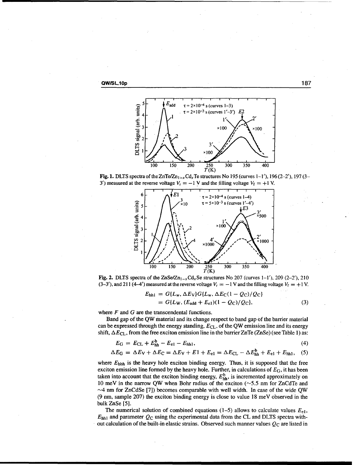







**Fig. 2.** DLTS spectra of the ZnSe/Zn<sub>1-x</sub>Cd<sub>x</sub>Se structures No 207 (curves  $1-1'$ ), 209  $(2-2')$ , 210  $(3-3')$ , and 211  $(4-4')$  measured at the reverse voltage  $V_f = -1$  V and the filling voltage  $V_f = +1$  V.

$$
E_{\text{hh1}} = G\{L_{\text{w}}, \Delta E_{\text{V}}\} G\{L_{\text{w}}, \Delta E_{\text{C}}(1 - Q_{\text{C}})/Q_{\text{C}}\}
$$
  
=  $G\{L_{\text{w}}, (E_{\text{add}} + E_{\text{c}})(1 - Q_{\text{C}})/Q_{\text{C}}\},$  (3)

where *F* and **G** are the transcendental functions.

Band gap of the **QW** material and its change respect to band gap of the barrier material can be expressed through the energy standing,  $E_{CL}$ , of the QW emission line and its energy shift, **AECL,** from the free exciton emission line in the barrier ZnTe (ZnSe) (see Table **1)** as:

$$
E_{\rm G} = E_{\rm CL} + E_{\rm hh}^{\rm b} - E_{\rm el} - E_{\rm hh1},\tag{4}
$$

$$
\Delta E_{\rm G} = \Delta E_{\rm V} + \Delta E_{\rm C} = \Delta E_{\rm V} + E_1 + E_{\rm el} = \Delta E_{\rm CL} - \Delta E_{\rm hh}^{\rm b} + E_{\rm el} + E_{\rm hh1}, \quad (5)
$$

where  $E_{\text{hhh}}$  is the heavy hole exciton binding energy. Thus, it is supposed that the free exciton emission line formed **by** the heavy hole. Further, in calculations of *EG,* it has been taken into account that the exciton binding energy,  $E_{hh}^{b}$ , is incremented approximately on 10 meV in the narrow QW when Bohr radius of the exciton  $(\sim 5.5 \text{ nm}$  for ZnCdTe and  $\sim$ 4 nm for ZnCdSe [7]) becomes comparable with well width. In case of the wide OW (9 nm, sample 207) the exciton binding energy is close to value 18 meV observed in the bulk ZnSe [5].

The numerical solution of combined equations (1–5) allows to calculate values  $E_{el}$ ,  $E_{\text{hh1}}$  and parameter  $Q_C$  using the experimental data from the CL and DLTS spectra without calculation of the built-in elastic strains. Observed such manner values  $Q_C$  are listed in